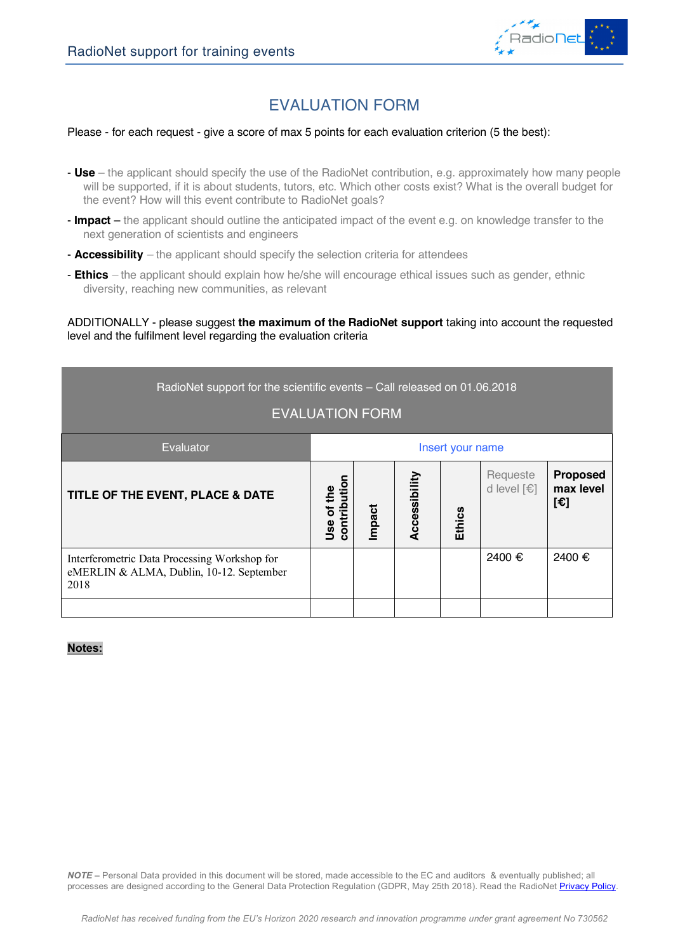

## EVALUATION FORM

#### Please - for each request - give a score of max 5 points for each evaluation criterion (5 the best):

- **Use** the applicant should specify the use of the RadioNet contribution, e.g. approximately how many people will be supported, if it is about students, tutors, etc. Which other costs exist? What is the overall budget for the event? How will this event contribute to RadioNet goals?
- **Impact** the applicant should outline the anticipated impact of the event e.g. on knowledge transfer to the next generation of scientists and engineers
- **Accessibility** *–* the applicant should specify the selection criteria for attendees
- **Ethics** *–* the applicant should explain how he/she will encourage ethical issues such as gender, ethnic diversity, reaching new communities, as relevant

ADDITIONALLY - please suggest **the maximum of the RadioNet support** taking into account the requested level and the fulfilment level regarding the evaluation criteria

| RadioNet support for the scientific events - Call released on 01.06.2018<br><b>EVALUATION FORM</b> |                            |        |               |               |                         |                                                       |
|----------------------------------------------------------------------------------------------------|----------------------------|--------|---------------|---------------|-------------------------|-------------------------------------------------------|
| Evaluator                                                                                          | Insert your name           |        |               |               |                         |                                                       |
| TITLE OF THE EVENT, PLACE & DATE                                                                   | contribution<br>Jse of the | Impact | Accessibility | <b>Ethics</b> | Requeste<br>d level [€] | <b>Proposed</b><br>max level<br>$[\mathbf{\epsilon}]$ |
| Interferometric Data Processing Workshop for<br>eMERLIN & ALMA, Dublin, 10-12. September<br>2018   |                            |        |               |               | 2400 €                  | 2400 €                                                |
|                                                                                                    |                            |        |               |               |                         |                                                       |

## **Notes:**

*NOTE –* Personal Data provided in this document will be stored, made accessible to the EC and auditors & eventually published; all processes are designed according to the General Data Protection Regulation (GDPR, May 25th 2018). Read the RadioNet Privacy Policy.